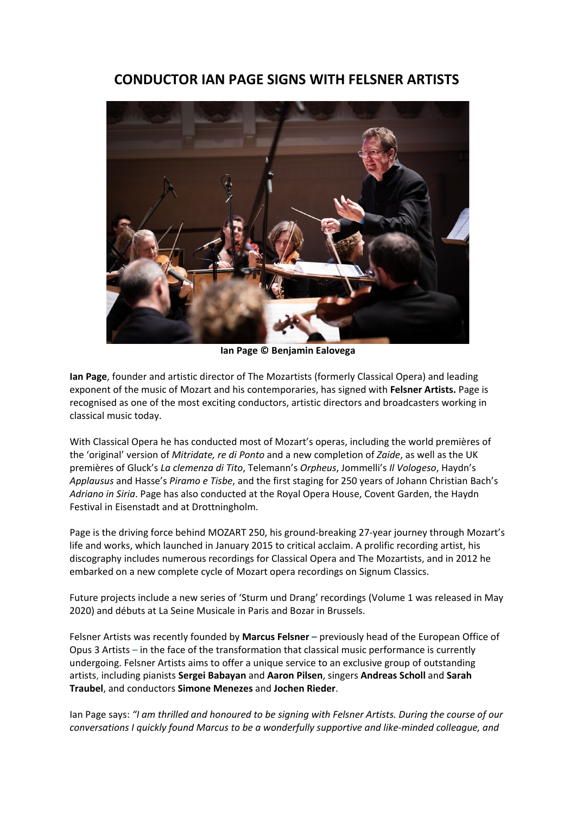## **CONDUCTOR IAN PAGE SIGNS WITH FELSNER ARTISTS**



**Ian Page © Benjamin Ealovega**

**Ian Page**, founder and artistic director of The Mozartists (formerly Classical Opera) and leading exponent of the music of Mozart and his contemporaries, has signed with **Felsner Artists.** Page is recognised as one of the most exciting conductors, artistic directors and broadcasters working in classical music today.

With Classical Opera he has conducted most of Mozart's operas, including the world premières of the 'original' version of *Mitridate, re di Ponto* and a new completion of *Zaide*, as well as the UK premières of Gluck's *La clemenza di Tito*, Telemann's *Orpheus*, Jommelli's *Il Vologeso*, Haydn's *Applausus* and Hasse's *Piramo e Tisbe*, and the first staging for 250 years of Johann Christian Bach's *Adriano in Siria*. Page has also conducted at the Royal Opera House, Covent Garden, the Haydn Festival in Eisenstadt and at Drottningholm.

Page is the driving force behind MOZART 250, his ground-breaking 27-year journey through Mozart's life and works, which launched in January 2015 to critical acclaim. A prolific recording artist, his discography includes numerous recordings for Classical Opera and The Mozartists, and in 2012 he embarked on a new complete cycle of Mozart opera recordings on Signum Classics.

Future projects include a new series of 'Sturm und Drang' recordings (Volume 1 was released in May 2020) and débuts at La Seine Musicale in Paris and Bozar in Brussels.

Felsner Artists was recently founded by **Marcus Felsner –** previously head of the European Office of Opus 3 Artists – in the face of the transformation that classical music performance is currently undergoing. Felsner Artists aims to offer a unique service to an exclusive group of outstanding artists, including pianists **Sergei Babayan** and **Aaron Pilsen**, singers **Andreas Scholl** and **Sarah Traubel**, and conductors **Simone Menezes** and **Jochen Rieder**.

Ian Page says: *"I am thrilled and honoured to be signing with Felsner Artists. During the course of our conversations I quickly found Marcus to be a wonderfully supportive and like-minded colleague, and*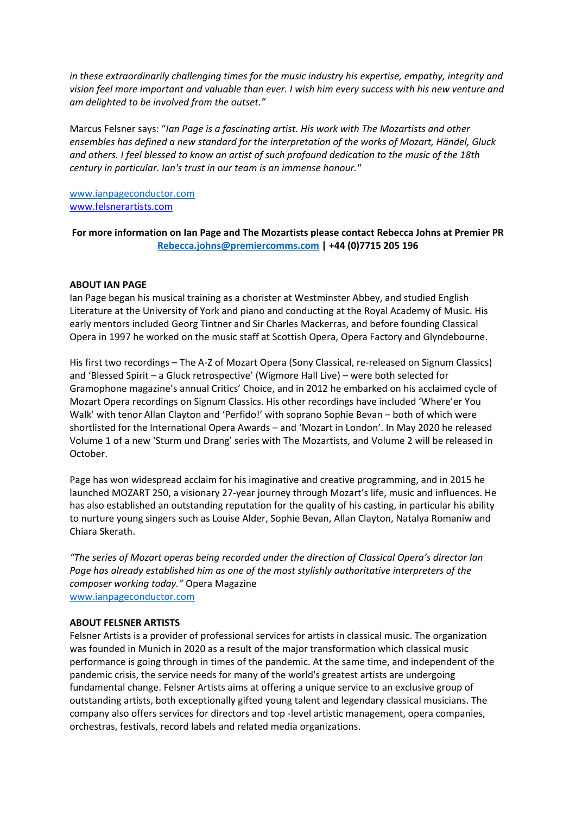*in these extraordinarily challenging times for the music industry his expertise, empathy, integrity and vision feel more important and valuable than ever. I wish him every success with his new venture and am delighted to be involved from the outset."*

Marcus Felsner says: "*Ian Page is a fascinating artist. His work with The Mozartists and other ensembles has defined a new standard for the interpretation of the works of Mozart, Händel, Gluck and others. I feel blessed to know an artist of such profound dedication to the music of the 18th century in particular. Ian's trust in our team is an immense honour."*

[www.ianpageconductor.com](http://www.ianpageconductor.com/) [www.felsnerartists.com](http://www.felsnerartists.com/) 

**For more information on Ian Page and The Mozartists please contact Rebecca Johns at Premier PR [Rebecca.johns@premiercomms.com](mailto:Rebecca.johns@premiercomms.com) | +44 (0)7715 205 196**

## **ABOUT IAN PAGE**

Ian Page began his musical training as a chorister at Westminster Abbey, and studied English Literature at the University of York and piano and conducting at the Royal Academy of Music. His early mentors included Georg Tintner and Sir Charles Mackerras, and before founding Classical Opera in 1997 he worked on the music staff at Scottish Opera, Opera Factory and Glyndebourne.

His first two recordings – The A-Z of Mozart Opera (Sony Classical, re-released on Signum Classics) and 'Blessed Spirit – a Gluck retrospective' (Wigmore Hall Live) – were both selected for Gramophone magazine's annual Critics' Choice, and in 2012 he embarked on his acclaimed cycle of Mozart Opera recordings on Signum Classics. His other recordings have included 'Where'er You Walk' with tenor Allan Clayton and 'Perfido!' with soprano Sophie Bevan – both of which were shortlisted for the International Opera Awards – and 'Mozart in London'. In May 2020 he released Volume 1 of a new 'Sturm und Drang' series with The Mozartists, and Volume 2 will be released in October.

Page has won widespread acclaim for his imaginative and creative programming, and in 2015 he launched MOZART 250, a visionary 27-year journey through Mozart's life, music and influences. He has also established an outstanding reputation for the quality of his casting, in particular his ability to nurture young singers such as Louise Alder, Sophie Bevan, Allan Clayton, Natalya Romaniw and Chiara Skerath.

*"The series of Mozart operas being recorded under the direction of Classical Opera's director Ian Page has already established him as one of the most stylishly authoritative interpreters of the composer working today."* Opera Magazine [www.ianpageconductor.com](http://www.ianpageconductor.com/)

## **ABOUT FELSNER ARTISTS**

Felsner Artists is a provider of professional services for artists in classical music. The organization was founded in Munich in 2020 as a result of the major transformation which classical music performance is going through in times of the pandemic. At the same time, and independent of the pandemic crisis, the service needs for many of the world's greatest artists are undergoing fundamental change. Felsner Artists aims at offering a unique service to an exclusive group of outstanding artists, both exceptionally gifted young talent and legendary classical musicians. The company also offers services for directors and top -level artistic management, opera companies, orchestras, festivals, record labels and related media organizations.